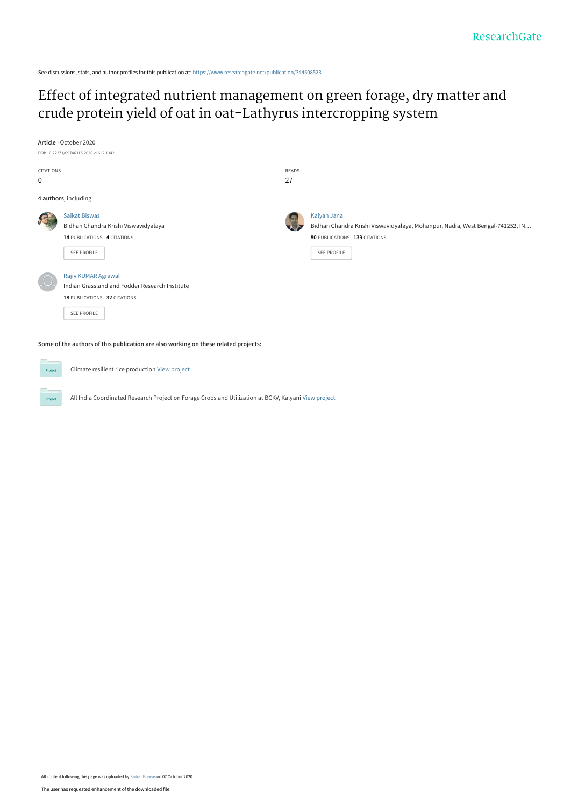See discussions, stats, and author profiles for this publication at: [https://www.researchgate.net/publication/344508523](https://www.researchgate.net/publication/344508523_Effect_of_integrated_nutrient_management_on_green_forage_dry_matter_and_crude_protein_yield_of_oat_in_oat-Lathyrus_intercropping_system?enrichId=rgreq-eb02afe07d16c255d435207120beac00-XXX&enrichSource=Y292ZXJQYWdlOzM0NDUwODUyMztBUzo5NDM5MDEzODkxMjM1ODRAMTYwMjA1NTAzNjI2Mw%3D%3D&el=1_x_2&_esc=publicationCoverPdf)

# [Effect of integrated nutrient management on green forage, dry matter and](https://www.researchgate.net/publication/344508523_Effect_of_integrated_nutrient_management_on_green_forage_dry_matter_and_crude_protein_yield_of_oat_in_oat-Lathyrus_intercropping_system?enrichId=rgreq-eb02afe07d16c255d435207120beac00-XXX&enrichSource=Y292ZXJQYWdlOzM0NDUwODUyMztBUzo5NDM5MDEzODkxMjM1ODRAMTYwMjA1NTAzNjI2Mw%3D%3D&el=1_x_3&_esc=publicationCoverPdf) crude protein yield of oat in oat-Lathyrus intercropping system

**Article** · October 2020

Project



| <b>CITATIONS</b><br>0                                                               |                                                                                                                                                                                                                                           | <b>READS</b><br>27 |                                                                                                                                                     |
|-------------------------------------------------------------------------------------|-------------------------------------------------------------------------------------------------------------------------------------------------------------------------------------------------------------------------------------------|--------------------|-----------------------------------------------------------------------------------------------------------------------------------------------------|
|                                                                                     | 4 authors, including:                                                                                                                                                                                                                     |                    |                                                                                                                                                     |
|                                                                                     | <b>Saikat Biswas</b><br>Bidhan Chandra Krishi Viswavidyalaya<br>14 PUBLICATIONS 4 CITATIONS<br>SEE PROFILE<br>Rajiv KUMAR Agrawal<br>Indian Grassland and Fodder Research Institute<br>18 PUBLICATIONS 32 CITATIONS<br><b>SEE PROFILE</b> |                    | Kalyan Jana<br>Bidhan Chandra Krishi Viswavidyalaya, Mohanpur, Nadia, West Bengal-741252, IN<br>80 PUBLICATIONS 139 CITATIONS<br><b>SEE PROFILE</b> |
| Some of the authors of this publication are also working on these related projects: |                                                                                                                                                                                                                                           |                    |                                                                                                                                                     |
| Project                                                                             | Climate resilient rice production View project                                                                                                                                                                                            |                    |                                                                                                                                                     |

All India Coordinated Research Project on Forage Crops and Utilization at BCKV, Kalyani [View project](https://www.researchgate.net/project/All-India-Coordinated-Research-Project-on-Forage-Crops-and-Utilization-at-BCKV-Kalyani?enrichId=rgreq-eb02afe07d16c255d435207120beac00-XXX&enrichSource=Y292ZXJQYWdlOzM0NDUwODUyMztBUzo5NDM5MDEzODkxMjM1ODRAMTYwMjA1NTAzNjI2Mw%3D%3D&el=1_x_9&_esc=publicationCoverPdf)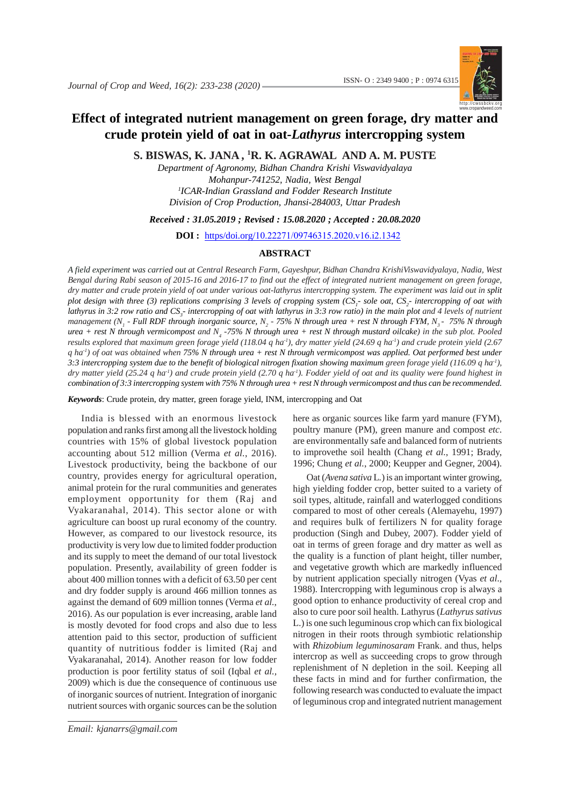

## **Effect of integrated nutrient management on green forage, dry matter and crude protein yield of oat in oat-***Lathyrus* **intercropping system**

**S. BISWAS, K. JANA , 1 R. K. AGRAWAL AND A. M. PUSTE**

*Department of Agronomy, Bidhan Chandra Krishi Viswavidyalaya Mohanpur-741252, Nadia, West Bengal 1 ICAR-Indian Grassland and Fodder Research Institute Division of Crop Production, Jhansi-284003, Uttar Pradesh*

*Received : 31.05.2019 ; Revised : 15.08.2020 ; Accepted : 20.08.2020*

**DOI :** https/doi.org/10.22271/09746315.2020.v16.i2.1342

#### **ABSTRACT**

*A field experiment was carried out at Central Research Farm, Gayeshpur, Bidhan Chandra KrishiViswavidyalaya, Nadia, West Bengal during Rabi season of 2015-16 and 2016-17 to find out the effect of integrated nutrient management on green forage, dry matter and crude protein yield of oat under various oat-lathyrus intercropping system. The experiment was laid out in split* plot design with three (3) replications comprising 3 levels of cropping system (CS<sub>1</sub>- sole oat, CS<sub>2</sub>- intercropping of oat with lathyrus in 3:2 row ratio and  $CS_j$ - intercropping of oat with lathyrus in 3:3 row ratio) in the main plot and 4 levels of nutrient management (N<sub>1</sub> - Full RDF through inorganic source, N<sub>2</sub> - 75% N through urea + rest N through FYM, N<sub>3</sub> - 75% N through urea + rest N through vermicompost and N<sub>4</sub> -75% N through urea + rest N through mustard oilcake) in the sub plot. Pooled *results explored that maximum green forage yield (118.04 q ha-1), dry matter yield (24.69 q ha-1) and crude protein yield (2.67 q ha-1) of oat was obtained when 75% N through urea + rest N through vermicompost was applied. Oat performed best under 3:3 intercropping system due to the benefit of biological nitrogen fixation showing maximum green forage yield (116.09 q ha-1), dry matter yield (25.24 q ha-1) and crude protein yield (2.70 q ha-1). Fodder yield of oat and its quality were found highest in combination of 3:3 intercropping system with 75% N through urea + rest N through vermicompost and thus can be recommended.*

*Keywords*: Crude protein, dry matter, green forage yield, INM, intercropping and Oat

India is blessed with an enormous livestock population and ranks first among all the livestock holding countries with 15% of global livestock population accounting about 512 million (Verma *et al.*, 2016). Livestock productivity, being the backbone of our country, provides energy for agricultural operation, animal protein for the rural communities and generates employment opportunity for them (Raj and Vyakaranahal, 2014). This sector alone or with agriculture can boost up rural economy of the country. However, as compared to our livestock resource, its productivity is very low due to limited fodder production and its supply to meet the demand of our total livestock population. Presently, availability of green fodder is about 400 million tonnes with a deficit of 63.50 per cent and dry fodder supply is around 466 million tonnes as against the demand of 609 million tonnes (Verma *et al.*, 2016). As our population is ever increasing, arable land is mostly devoted for food crops and also due to less attention paid to this sector, production of sufficient quantity of nutritious fodder is limited (Raj and Vyakaranahal, 2014). Another reason for low fodder production is poor fertility status of soil (Iqbal *et al.,* 2009) which is due the consequence of continuous use of inorganic sources of nutrient. Integration of inorganic nutrient sources with organic sources can be the solution

*J. Crop and Weed, 16(2)* 233 *Email: kjanarrs@gmail.com*

here as organic sources like farm yard manure (FYM), poultry manure (PM), green manure and compost *etc*. are environmentally safe and balanced form of nutrients to improvethe soil health (Chang *et al.*, 1991; Brady, 1996; Chung *et al.*, 2000; Keupper and Gegner, 2004).

Oat (*Avena sativa* L*.*) is an important winter growing, high yielding fodder crop, better suited to a variety of soil types, altitude, rainfall and waterlogged conditions compared to most of other cereals (Alemayehu, 1997) and requires bulk of fertilizers N for quality forage production (Singh and Dubey, 2007). Fodder yield of oat in terms of green forage and dry matter as well as the quality is a function of plant height, tiller number, and vegetative growth which are markedly influenced by nutrient application specially nitrogen (Vyas *et al*., 1988). Intercropping with leguminous crop is always a good option to enhance productivity of cereal crop and also to cure poor soil health. Lathyrus (*Lathyrus sativus* L.) is one such leguminous crop which can fix biological nitrogen in their roots through symbiotic relationship with *Rhizobium leguminosaram* Frank. and thus, helps intercrop as well as succeeding crops to grow through replenishment of N depletion in the soil. Keeping all these facts in mind and for further confirmation, the following research was conducted to evaluate the impact of leguminous crop and integrated nutrient management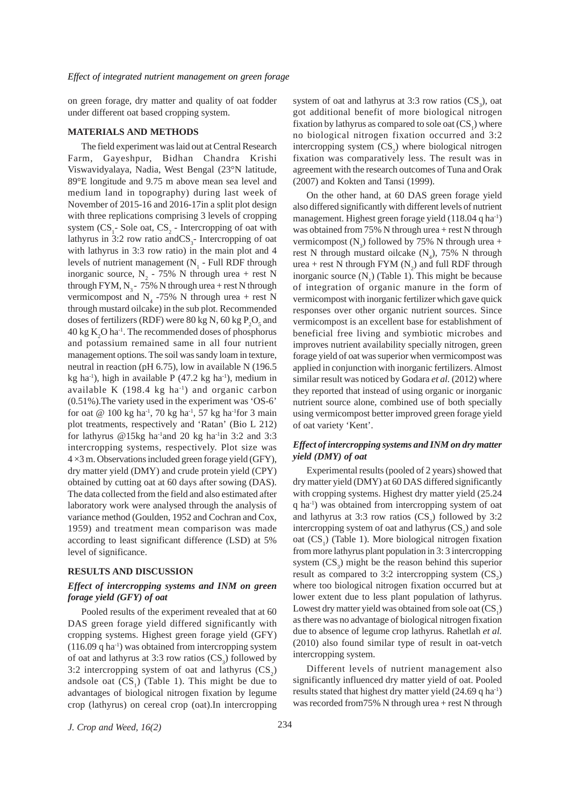on green forage, dry matter and quality of oat fodder under different oat based cropping system.

#### **MATERIALS AND METHODS**

The field experiment was laid out at Central Research Farm, Gayeshpur, Bidhan Chandra Krishi Viswavidyalaya, Nadia, West Bengal (23°N latitude, 89°E longitude and 9.75 m above mean sea level and medium land in topography) during last week of November of 2015-16 and 2016-17in a split plot design with three replications comprising 3 levels of cropping system  $(CS_1$ - Sole oat,  $CS_2$  - Intercropping of oat with lathyrus in 3:2 row ratio and  $CS_3$ - Intercropping of oat with lathyrus in 3:3 row ratio) in the main plot and 4 levels of nutrient management  $(N_1 - Full RDF)$  through inorganic source,  $N_2$  - 75% N through urea + rest N through FYM,  $N<sub>3</sub>$  - 75% N through urea + rest N through vermicompost and  $N_4$  -75% N through urea + rest N through mustard oilcake) in the sub plot. Recommended doses of fertilizers (RDF) were 80 kg N, 60 kg  $P_2O_5$  and  $40 \text{ kg K}<sub>2</sub>$ O ha<sup>-1</sup>. The recommended doses of phosphorus and potassium remained same in all four nutrient management options. The soil was sandy loam in texture, neutral in reaction (pH 6.75), low in available N (196.5 kg ha<sup>-1</sup>), high in available P  $(47.2 \text{ kg} \text{ ha}^{-1})$ , medium in available K  $(198.4 \text{ kg ha}^{-1})$  and organic carbon (0.51%).The variety used in the experiment was 'OS-6' for oat  $@$  100 kg ha<sup>-1</sup>, 70 kg ha<sup>-1</sup>, 57 kg ha<sup>-1</sup>for 3 main plot treatments, respectively and 'Ratan' (Bio L 212) for lathyrus @15kg ha<sup>-1</sup>and 20 kg ha<sup>-1</sup>in 3:2 and 3:3 intercropping systems, respectively. Plot size was  $4 \times 3$  m. Observations included green forage yield (GFY), dry matter yield (DMY) and crude protein yield (CPY) obtained by cutting oat at 60 days after sowing (DAS). The data collected from the field and also estimated after laboratory work were analysed through the analysis of variance method (Goulden, 1952 and Cochran and Cox, 1959) and treatment mean comparison was made according to least significant difference (LSD) at 5% level of significance.

#### **RESULTS AND DISCUSSION**

## *Effect of intercropping systems and INM on green forage yield (GFY) of oat*

Pooled results of the experiment revealed that at 60 DAS green forage yield differed significantly with cropping systems. Highest green forage yield (GFY)  $(116.09 \text{ q ha}^{-1})$  was obtained from intercropping system of oat and lathyrus at 3:3 row ratios  $(CS_3)$  followed by 3:2 intercropping system of oat and lathyrus  $(CS_2)$ andsole oat  $(CS_1)$  (Table 1). This might be due to advantages of biological nitrogen fixation by legume crop (lathyrus) on cereal crop (oat).In intercropping

system of oat and lathyrus at 3:3 row ratios  $(CS_3)$ , oat got additional benefit of more biological nitrogen fixation by lathyrus as compared to sole oat  $(CS<sub>1</sub>)$  where no biological nitrogen fixation occurred and 3:2 intercropping system  $(CS_2)$  where biological nitrogen fixation was comparatively less. The result was in agreement with the research outcomes of Tuna and Orak (2007) and Kokten and Tansi (1999).

On the other hand, at 60 DAS green forage yield also differed significantly with different levels of nutrient management. Highest green forage yield (118.04 q ha-1) was obtained from  $75\%$  N through urea + rest N through vermicompost  $(N_3)$  followed by 75% N through urea + rest N through mustard oilcake  $(N_4)$ , 75% N through urea + rest N through FYM  $(N_2)$  and full RDF through inorganic source  $(N_1)$  (Table 1). This might be because of integration of organic manure in the form of vermicompost with inorganic fertilizer which gave quick responses over other organic nutrient sources. Since vermicompost is an excellent base for establishment of beneficial free living and symbiotic microbes and improves nutrient availability specially nitrogen, green forage yield of oat was superior when vermicompost was applied in conjunction with inorganic fertilizers. Almost similar result was noticed by Godara et al. (2012) where they reported that instead of using organic or inorganic nutrient source alone, combined use of both specially using vermicompost better improved green forage yield of oat variety 'Kent'.

## *Effect of intercropping systems and INM on dry matter yield (DMY) of oat*

Experimental results (pooled of 2 years) showed that dry matter yield (DMY) at 60 DAS differed significantly with cropping systems. Highest dry matter yield (25.24 q ha-1) was obtained from intercropping system of oat and lathyrus at 3:3 row ratios  $(CS_3)$  followed by 3:2 intercropping system of oat and lathyrus  $(CS_2)$  and sole oat (CS<sub>1</sub>) (Table 1). More biological nitrogen fixation from more lathyrus plant population in 3: 3 intercropping system  $(CS_3)$  might be the reason behind this superior result as compared to 3:2 intercropping system  $(CS_2)$ where too biological nitrogen fixation occurred but at lower extent due to less plant population of lathyrus. Lowest dry matter yield was obtained from sole oat  $(CS<sub>1</sub>)$ as there was no advantage of biological nitrogen fixation due to absence of legume crop lathyrus. Rahetlah *et al.* (2010) also found similar type of result in oat-vetch intercropping system.

Different levels of nutrient management also significantly influenced dry matter yield of oat. Pooled results stated that highest dry matter yield (24.69 q ha-1) was recorded from 75% N through urea + rest N through

*J. Crop and Weed, 16(2)* 234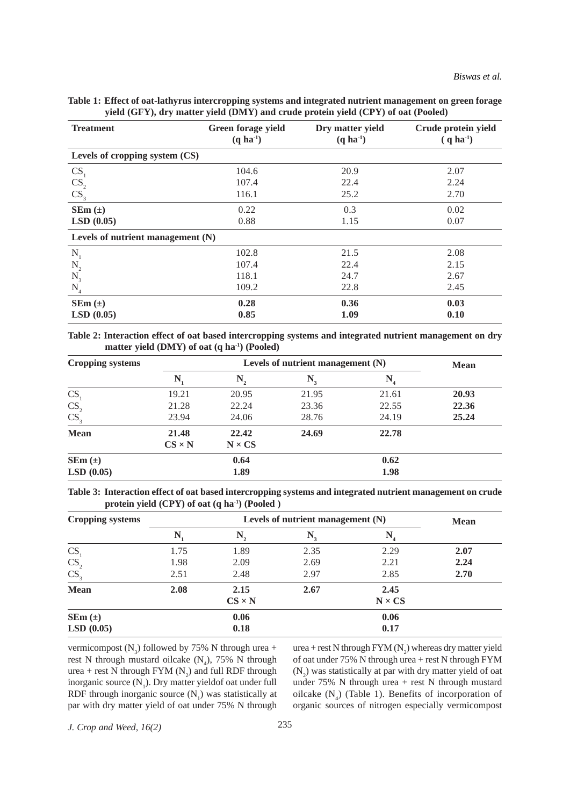| Table 1: Effect of oat-lathyrus intercropping systems and integrated nutrient management on green forage |  |
|----------------------------------------------------------------------------------------------------------|--|
| yield (GFY), dry matter yield (DMY) and crude protein yield (CPY) of oat (Pooled)                        |  |

| <b>Treatment</b>                    | Green forage yield<br>$(q \text{ ha}^{-1})$ | Dry matter yield<br>$(q \text{ ha}^{-1})$ | Crude protein yield<br>$(q \text{ ha}^{-1})$ |
|-------------------------------------|---------------------------------------------|-------------------------------------------|----------------------------------------------|
| Levels of cropping system (CS)      |                                             |                                           |                                              |
| CS                                  | 104.6                                       | 20.9                                      | 2.07                                         |
|                                     | 107.4                                       | 22.4                                      | 2.24                                         |
| $\frac{CS_2}{CS_3}$                 | 116.1                                       | 25.2                                      | 2.70                                         |
| $SEm (\pm)$                         | 0.22                                        | 0.3                                       | 0.02                                         |
| LSD(0.05)                           | 0.88                                        | 1.15                                      | 0.07                                         |
| Levels of nutrient management $(N)$ |                                             |                                           |                                              |
| N                                   | 102.8                                       | 21.5                                      | 2.08                                         |
| $\mathbf{N}_{2}$                    | 107.4                                       | 22.4                                      | 2.15                                         |
| $N_3$                               | 118.1                                       | 24.7                                      | 2.67                                         |
| $\rm N_4$                           | 109.2                                       | 22.8                                      | 2.45                                         |
| $SEm (\pm)$                         | 0.28                                        | 0.36                                      | 0.03                                         |
| LSD(0.05)                           | 0.85                                        | 1.09                                      | 0.10                                         |

**Table 2: Interaction effect of oat based intercropping systems and integrated nutrient management on dry matter yield (DMY) of oat (q ha-1) (Pooled)**

| <b>Cropping systems</b> |                  | <b>Mean</b>      |                  |                   |       |
|-------------------------|------------------|------------------|------------------|-------------------|-------|
|                         | $\mathbf{N}_{i}$ | $\mathbf{N}_{2}$ | $\mathbf{N}_{3}$ | $\mathbf{N}_{_4}$ |       |
| CS                      | 19.21            | 20.95            | 21.95            | 21.61             | 20.93 |
| CS <sub>2</sub>         | 21.28            | 22.24            | 23.36            | 22.55             | 22.36 |
| CS <sub>3</sub>         | 23.94            | 24.06            | 28.76            | 24.19             | 25.24 |
| <b>Mean</b>             | 21.48            | 22.42            | 24.69            | 22.78             |       |
|                         | $CS \times N$    | $N \times CS$    |                  |                   |       |
| $SEm (\pm)$             |                  | 0.64             |                  | 0.62              |       |
| LSD(0.05)               |                  | 1.89             |                  | 1.98              |       |

**Table 3: Interaction effect of oat based intercropping systems and integrated nutrient management on crude protein yield (CPY) of oat (q ha-1) (Pooled )**

| <b>Cropping systems</b> | Levels of nutrient management $(N)$ |                  |                  |                |      |
|-------------------------|-------------------------------------|------------------|------------------|----------------|------|
|                         | N,                                  | $\mathbf{N}_{2}$ | $\mathbf{N}_{3}$ | $\mathbf{N}_4$ |      |
| CS                      | 1.75                                | 1.89             | 2.35             | 2.29           | 2.07 |
| CS <sub>2</sub>         | 1.98                                | 2.09             | 2.69             | 2.21           | 2.24 |
| CS <sub>3</sub>         | 2.51                                | 2.48             | 2.97             | 2.85           | 2.70 |
| <b>Mean</b>             | 2.08                                | 2.15             | 2.67             | 2.45           |      |
|                         |                                     | $CS \times N$    |                  | $N \times CS$  |      |
| $SEm(\pm)$              |                                     | 0.06             |                  | 0.06           |      |
| LSD(0.05)               |                                     | 0.18             |                  | 0.17           |      |

vermicompost  $(N_3)$  followed by 75% N through urea + rest N through mustard oilcake  $(N_4)$ , 75% N through urea + rest N through FYM  $(N_2)$  and full RDF through inorganic source  $(N_1)$ . Dry matter yieldof oat under full RDF through inorganic source  $(N_1)$  was statistically at par with dry matter yield of oat under 75% N through

urea + rest N through  $FYM(N_2)$  whereas dry matter yield of oat under 75% N through urea + rest N through FYM  $(N_2)$  was statistically at par with dry matter yield of oat under 75% N through urea + rest N through mustard oilcake  $(N_4)$  (Table 1). Benefits of incorporation of organic sources of nitrogen especially vermicompost

*J. Crop and Weed, 16(2)* 235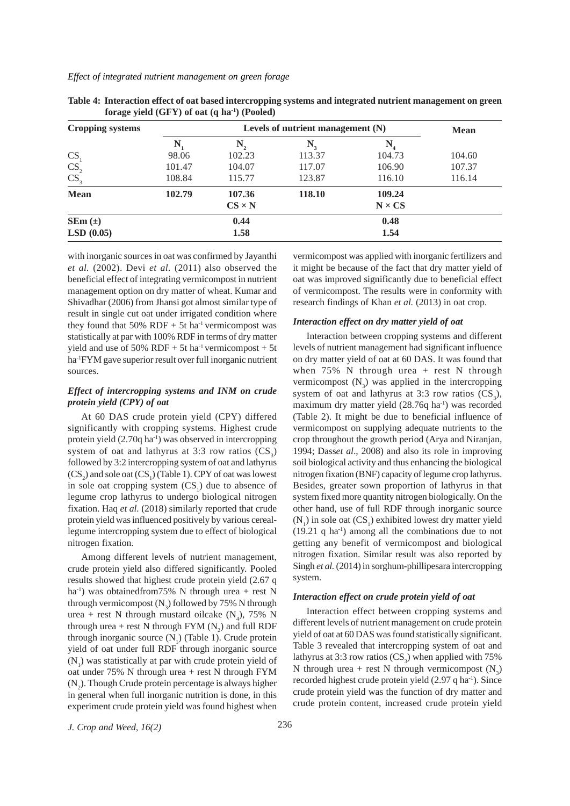#### *Effect of integrated nutrient management on green forage*

| <b>Cropping systems</b> |        | <b>Mean</b>   |        |               |        |
|-------------------------|--------|---------------|--------|---------------|--------|
|                         | N      | N,            | N,     | N             |        |
| <b>CS</b>               | 98.06  | 102.23        | 113.37 | 104.73        | 104.60 |
| CS <sub>2</sub>         | 101.47 | 104.07        | 117.07 | 106.90        | 107.37 |
| CS <sub>3</sub>         | 108.84 | 115.77        | 123.87 | 116.10        | 116.14 |
| <b>Mean</b>             | 102.79 | 107.36        | 118.10 | 109.24        |        |
|                         |        | $CS \times N$ |        | $N \times CS$ |        |
| $SEm (\pm)$             |        | 0.44          |        | 0.48          |        |
| LSD(0.05)               |        | 1.58          |        | 1.54          |        |

**Table 4: Interaction effect of oat based intercropping systems and integrated nutrient management on green forage yield (GFY) of oat (q ha-1) (Pooled)**

with inorganic sources in oat was confirmed by Jayanthi *et al.* (2002). Devi *et al.* (2011) also observed the beneficial effect of integrating vermicompost in nutrient management option on dry matter of wheat. Kumar and Shivadhar (2006) from Jhansi got almost similar type of result in single cut oat under irrigated condition where they found that  $50\%$  RDF +  $5t$  ha<sup>-1</sup> vermicompost was statistically at par with 100% RDF in terms of dry matter yield and use of 50% RDF + 5t ha<sup>-1</sup> vermicompost + 5t ha-1FYM gave superior result over full inorganic nutrient sources.

## *Effect of intercropping systems and INM on crude protein yield (CPY) of oat*

At 60 DAS crude protein yield (CPY) differed significantly with cropping systems. Highest crude protein yield  $(2.70q \text{ ha}^{-1})$  was observed in intercropping system of oat and lathyrus at 3:3 row ratios  $(CS_3)$ followed by 3:2 intercropping system of oat and lathyrus  $(CS_2)$  and sole oat  $(CS_1)$  (Table 1). CPY of oat was lowest in sole oat cropping system  $(CS<sub>1</sub>)$  due to absence of legume crop lathyrus to undergo biological nitrogen fixation. Haq *et al.* (2018) similarly reported that crude protein yield was influenced positively by various cereallegume intercropping system due to effect of biological nitrogen fixation.

Among different levels of nutrient management, crude protein yield also differed significantly. Pooled results showed that highest crude protein yield (2.67 q ha<sup>-1</sup>) was obtainedfrom75% N through urea + rest N through vermicompost  $(N_3)$  followed by 75% N through urea + rest N through mustard oilcake  $(N_4)$ , 75% N through urea + rest N through FYM  $(N_2)$  and full RDF through inorganic source  $(N_1)$  (Table 1). Crude protein yield of oat under full RDF through inorganic source  $(N_1)$  was statistically at par with crude protein yield of oat under 75% N through urea + rest N through FYM  $(N_2)$ . Though Crude protein percentage is always higher in general when full inorganic nutrition is done, in this experiment crude protein yield was found highest when

vermicompost was applied with inorganic fertilizers and it might be because of the fact that dry matter yield of oat was improved significantly due to beneficial effect of vermicompost. The results were in conformity with research findings of Khan *et al.* (2013) in oat crop.

## *Interaction effect on dry matter yield of oat*

Interaction between cropping systems and different levels of nutrient management had significant influence on dry matter yield of oat at 60 DAS. It was found that when  $75\%$  N through urea + rest N through vermicompost  $(N_3)$  was applied in the intercropping system of oat and lathyrus at 3:3 row ratios  $(CS_3)$ , maximum dry matter yield (28.76q ha<sup>-1</sup>) was recorded (Table 2). It might be due to beneficial influence of vermicompost on supplying adequate nutrients to the crop throughout the growth period (Arya and Niranjan, 1994; Dass*et al*., 2008) and also its role in improving soil biological activity and thus enhancing the biological nitrogen fixation (BNF) capacity of legume crop lathyrus. Besides, greater sown proportion of lathyrus in that system fixed more quantity nitrogen biologically. On the other hand, use of full RDF through inorganic source  $(N_1)$  in sole oat  $(CS_1)$  exhibited lowest dry matter yield  $(19.21 \text{ q ha}^{-1})$  among all the combinations due to not getting any benefit of vermicompost and biological nitrogen fixation. Similar result was also reported by Singh *et al.* (2014) in sorghum-phillipesara intercropping system.

### *Interaction effect on crude protein yield of oat*

Interaction effect between cropping systems and different levels of nutrient management on crude protein yield of oat at 60 DAS was found statistically significant. Table 3 revealed that intercropping system of oat and lathyrus at 3:3 row ratios  $(CS_3)$  when applied with 75% N through urea + rest N through vermicompost  $(N_3)$ recorded highest crude protein yield (2.97 q ha<sup>-1</sup>). Since crude protein yield was the function of dry matter and crude protein content, increased crude protein yield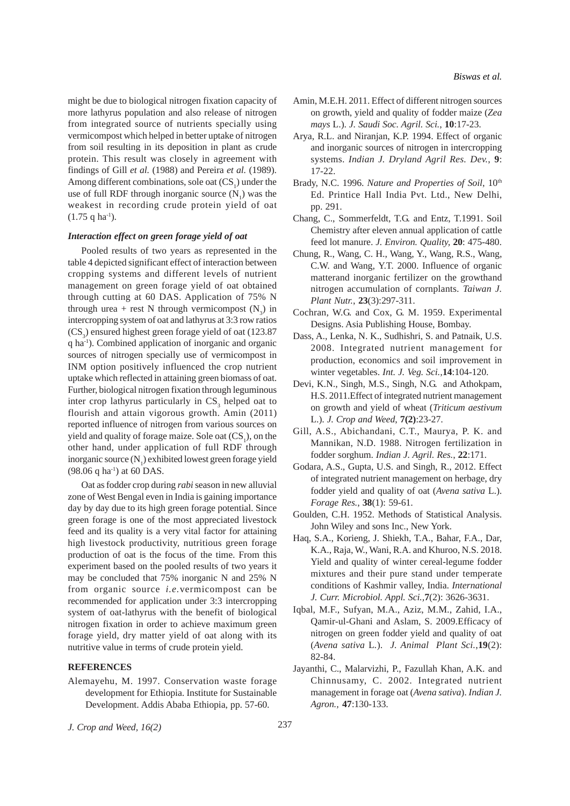might be due to biological nitrogen fixation capacity of more lathyrus population and also release of nitrogen from integrated source of nutrients specially using vermicompost which helped in better uptake of nitrogen from soil resulting in its deposition in plant as crude protein. This result was closely in agreement with findings of Gill *et al.* (1988) and Pereira *et al.* (1989). Among different combinations, sole oat  $(CS<sub>1</sub>)$  under the use of full RDF through inorganic source  $(N_1)$  was the weakest in recording crude protein yield of oat  $(1.75$  q ha<sup>-1</sup>).

## *Interaction effect on green forage yield of oat*

Pooled results of two years as represented in the table 4 depicted significant effect of interaction between cropping systems and different levels of nutrient management on green forage yield of oat obtained through cutting at 60 DAS. Application of 75% N through urea + rest N through vermicompost  $(N_3)$  in intercropping system of oat and lathyrus at 3:3 row ratios  $(CS_3)$  ensured highest green forage yield of oat (123.87) q ha-1). Combined application of inorganic and organic sources of nitrogen specially use of vermicompost in INM option positively influenced the crop nutrient uptake which reflected in attaining green biomass of oat. Further, biological nitrogen fixation through leguminous inter crop lathyrus particularly in  $CS<sub>3</sub>$  helped oat to flourish and attain vigorous growth. Amin (2011) reported influence of nitrogen from various sources on yield and quality of forage maize. Sole oat  $(CS<sub>1</sub>)$ , on the other hand, under application of full RDF through inorganic source  $(N_1)$  exhibited lowest green forage yield  $(98.06 \text{ q ha}^{-1})$  at 60 DAS.

Oat as fodder crop during *rabi* season in new alluvial zone of West Bengal even in India is gaining importance day by day due to its high green forage potential. Since green forage is one of the most appreciated livestock feed and its quality is a very vital factor for attaining high livestock productivity, nutritious green forage production of oat is the focus of the time. From this experiment based on the pooled results of two years it may be concluded that 75% inorganic N and 25% N from organic source *i.e.*vermicompost can be recommended for application under 3:3 intercropping system of oat-lathyrus with the benefit of biological nitrogen fixation in order to achieve maximum green forage yield, dry matter yield of oat along with its nutritive value in terms of crude protein yield.

#### **REFERENCES**

- Alemayehu, M. 1997. Conservation waste forage development for Ethiopia. Institute for Sustainable Development. Addis Ababa Ethiopia, pp. 57-60.
- *J. Crop and Weed, 16(2)* 237
- Amin, M.E.H. 2011. Effect of different nitrogen sources on growth, yield and quality of fodder maize (*Zea mays* L.). *J. Saudi Soc. Agril. Sci.*, **10**:17-23.
- Arya, R.L. and Niranjan, K.P. 1994. Effect of organic and inorganic sources of nitrogen in intercropping systems. *Indian J. Dryland Agril Res. Dev.*, **9**: 17-22.
- Brady, N.C. 1996. *Nature and Properties of Soil*, 10<sup>th</sup> Ed. Printice Hall India Pvt. Ltd., New Delhi, pp. 291.
- Chang, C., Sommerfeldt, T.G. and Entz, T.1991. Soil Chemistry after eleven annual application of cattle feed lot manure. *J. Environ. Quality,* **20**: 475-480.
- Chung, R., Wang, C. H., Wang, Y., Wang, R.S., Wang, C.W. and Wang, Y.T. 2000. Influence of organic matterand inorganic fertilizer on the growthand nitrogen accumulation of cornplants. *Taiwan J. Plant Nutr.*, **23**(3):297-311.
- Cochran, W.G. and Cox, G. M. 1959. Experimental Designs. Asia Publishing House, Bombay.
- Dass, A., Lenka, N. K., Sudhishri, S. and Patnaik, U.S. 2008. Integrated nutrient management for production, economics and soil improvement in winter vegetables. *Int. J. Veg. Sci.,***14**:104-120.
- Devi, K.N., Singh, M.S., Singh, N.G. and Athokpam, H.S. 2011.Effect of integrated nutrient management on growth and yield of wheat (*Triticum aestivum* L.). *J. Crop and Weed*, **7(2)**:23-27.
- Gill, A.S., Abichandani, C.T., Maurya, P. K. and Mannikan, N.D. 1988. Nitrogen fertilization in fodder sorghum. *Indian J. Agril. Res.*, **22**:171.
- Godara, A.S., Gupta, U.S. and Singh, R., 2012. Effect of integrated nutrient management on herbage, dry fodder yield and quality of oat (*Avena sativa* L.). *Forage Res.*, **38**(1): 59-61.
- Goulden, C.H. 1952. Methods of Statistical Analysis. John Wiley and sons Inc., New York.
- Haq, S.A., Korieng, J. Shiekh, T.A., Bahar, F.A., Dar, K.A., Raja, W., Wani, R.A. and Khuroo, N.S. 2018. Yield and quality of winter cereal-legume fodder mixtures and their pure stand under temperate conditions of Kashmir valley, India. *International J. Curr. Microbiol. Appl. Sci.,***7**(2): 3626-3631.
- Iqbal, M.F., Sufyan, M.A., Aziz, M.M., Zahid, I.A., Qamir-ul-Ghani and Aslam, S. 2009.Efficacy of nitrogen on green fodder yield and quality of oat (*Avena sativa* L*.*). *J. Animal Plant Sci.*,**19**(2): 82-84.
- Jayanthi, C., Malarvizhi, P., Fazullah Khan, A.K. and Chinnusamy, C. 2002. Integrated nutrient management in forage oat (*Avena sativa*). *Indian J. Agron.,* **47**:130-133.